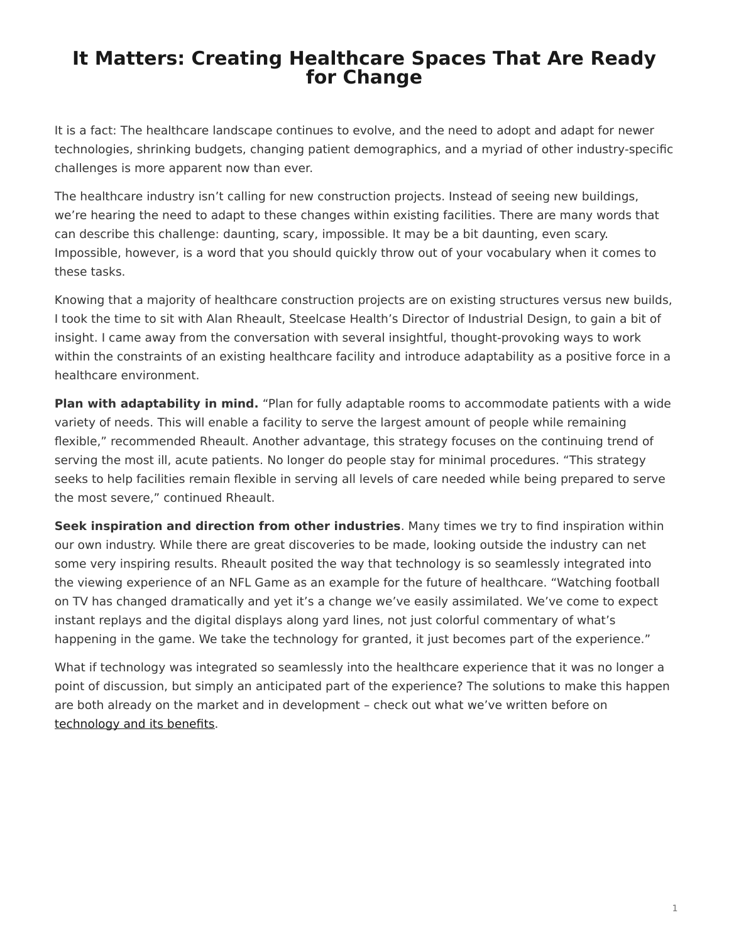## <span id="page-0-0"></span>**It Matters: Creating Healthcare Spaces That Are Ready for Change**

It is a fact: The healthcare landscape continues to evolve, and the need to adopt and adapt for newer technologies, shrinking budgets, changing patient demographics, and a myriad of other industry-specific challenges is more apparent now than ever.

The healthcare industry isn't calling for new construction projects. Instead of seeing new buildings, we're hearing the need to adapt to these changes within existing facilities. There are many words that can describe this challenge: daunting, scary, impossible. It may be a bit daunting, even scary. Impossible, however, is a word that you should quickly throw out of your vocabulary when it comes to these tasks.

Knowing that a majority of healthcare construction projects are on existing structures versus new builds, I took the time to sit with Alan Rheault, Steelcase Health's Director of Industrial Design, to gain a bit of insight. I came away from the conversation with several insightful, thought-provoking ways to work within the constraints of an existing healthcare facility and introduce adaptability as a positive force in a healthcare environment.

**Plan with adaptability in mind.** "Plan for fully adaptable rooms to accommodate patients with a wide variety of needs. This will enable a facility to serve the largest amount of people while remaining flexible," recommended Rheault. Another advantage, this strategy focuses on the continuing trend of serving the most ill, acute patients. No longer do people stay for minimal procedures. "This strategy seeks to help facilities remain flexible in serving all levels of care needed while being prepared to serve the most severe," continued Rheault.

**Seek inspiration and direction from other industries**. Many times we try to find inspiration within our own industry. While there are great discoveries to be made, looking outside the industry can net some very inspiring results. Rheault posited the way that technology is so seamlessly integrated into the viewing experience of an NFL Game as an example for the future of healthcare. "Watching football on TV has changed dramatically and yet it's a change we've easily assimilated. We've come to expect instant replays and the digital displays along yard lines, not just colorful commentary of what's happening in the game. We take the technology for granted, it just becomes part of the experience."

What if technology was integrated so seamlessly into the healthcare experience that it was no longer a point of discussion, but simply an anticipated part of the experience? The solutions to make this happen are both already on the market and in development – check out what we've written before on [technology and its benefits](https://www.steelcase.com/posts/personalized-medicine-and-new-technology-is-changing-patient-care/).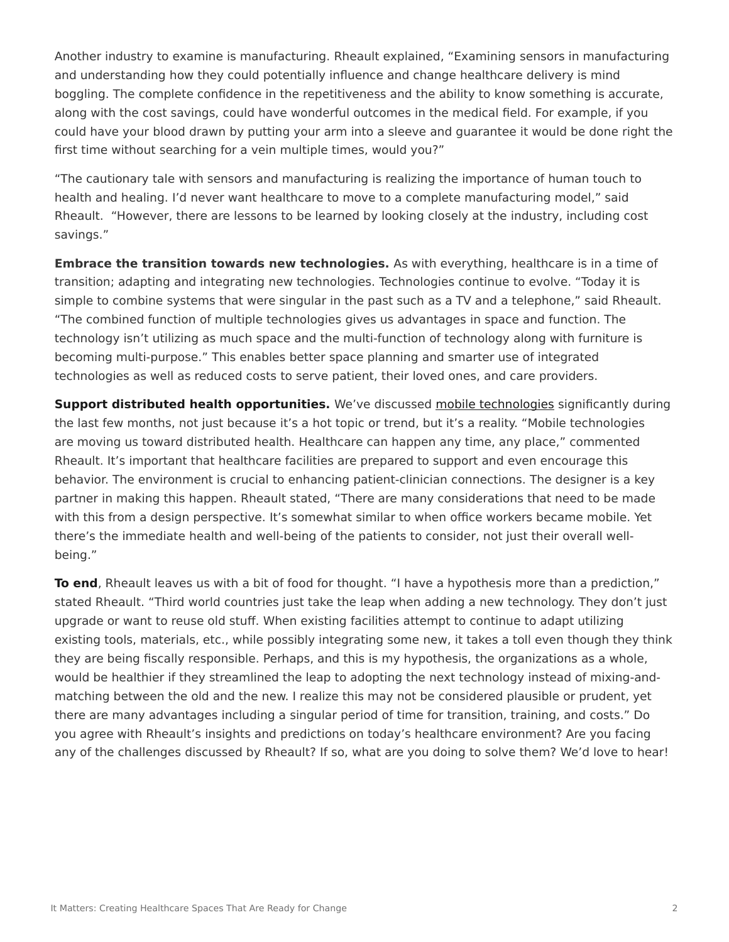Another industry to examine is manufacturing. Rheault explained, "Examining sensors in manufacturing and understanding how they could potentially influence and change healthcare delivery is mind boggling. The complete confidence in the repetitiveness and the ability to know something is accurate, along with the cost savings, could have wonderful outcomes in the medical field. For example, if you could have your blood drawn by putting your arm into a sleeve and guarantee it would be done right the first time without searching for a vein multiple times, would you?"

"The cautionary tale with sensors and manufacturing is realizing the importance of human touch to health and healing. I'd never want healthcare to move to a complete manufacturing model," said Rheault. "However, there are lessons to be learned by looking closely at the industry, including cost savings."

**Embrace the transition towards new technologies.** As with everything, healthcare is in a time of transition; adapting and integrating new technologies. Technologies continue to evolve. "Today it is simple to combine systems that were singular in the past such as a TV and a telephone," said Rheault. "The combined function of multiple technologies gives us advantages in space and function. The technology isn't utilizing as much space and the multi-function of technology along with furniture is becoming multi-purpose." This enables better space planning and smarter use of integrated technologies as well as reduced costs to serve patient, their loved ones, and care providers.

**Support distributed health opportunities.** We've discussed [mobile technologies](https://www.steelcase.com/posts/could-a-smartphone-be-the-future-of-medicine/) significantly during the last few months, not just because it's a hot topic or trend, but it's a reality. "Mobile technologies are moving us toward distributed health. Healthcare can happen any time, any place," commented Rheault. It's important that healthcare facilities are prepared to support and even encourage this behavior. The environment is crucial to enhancing patient-clinician connections. The designer is a key partner in making this happen. Rheault stated, "There are many considerations that need to be made with this from a design perspective. It's somewhat similar to when office workers became mobile. Yet there's the immediate health and well-being of the patients to consider, not just their overall wellbeing."

**To end**, Rheault leaves us with a bit of food for thought. "I have a hypothesis more than a prediction," stated Rheault. "Third world countries just take the leap when adding a new technology. They don't just upgrade or want to reuse old stuff. When existing facilities attempt to continue to adapt utilizing existing tools, materials, etc., while possibly integrating some new, it takes a toll even though they think they are being fiscally responsible. Perhaps, and this is my hypothesis, the organizations as a whole, would be healthier if they streamlined the leap to adopting the next technology instead of mixing-andmatching between the old and the new. I realize this may not be considered plausible or prudent, yet there are many advantages including a singular period of time for transition, training, and costs." Do you agree with Rheault's insights and predictions on today's healthcare environment? Are you facing any of the challenges discussed by Rheault? If so, what are you doing to solve them? We'd love to hear!